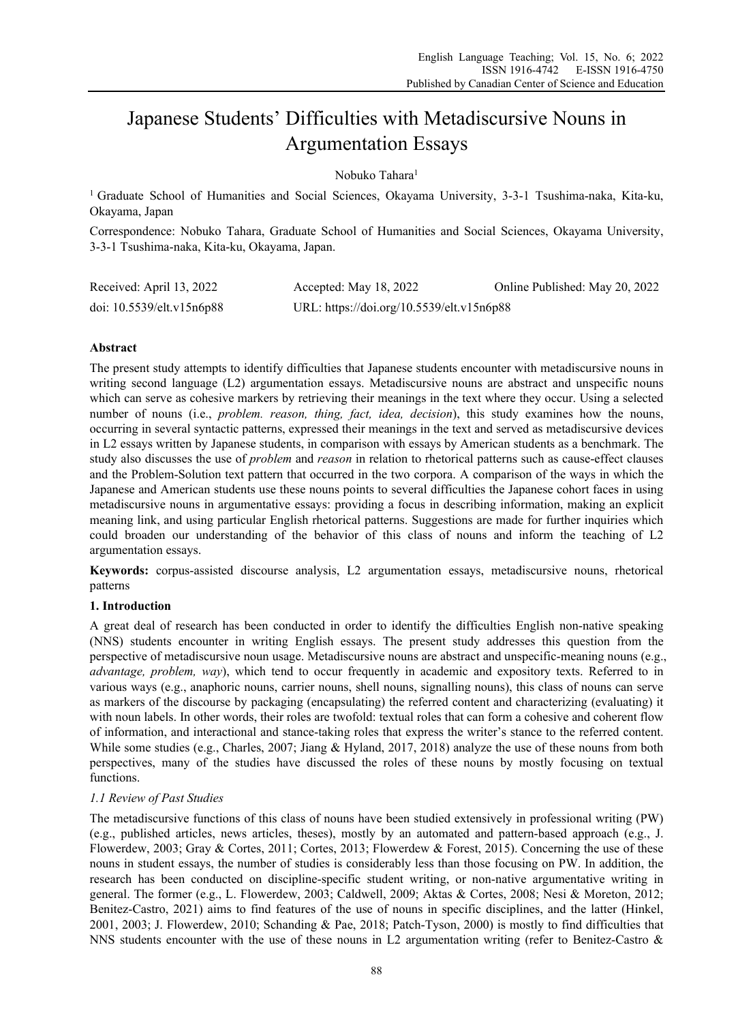# Japanese Students' Difficulties with Metadiscursive Nouns in Argumentation Essays

Nobuko Tahara<sup>1</sup>

1 Graduate School of Humanities and Social Sciences, Okayama University, 3-3-1 Tsushima-naka, Kita-ku, Okayama, Japan

Correspondence: Nobuko Tahara, Graduate School of Humanities and Social Sciences, Okayama University, 3-3-1 Tsushima-naka, Kita-ku, Okayama, Japan.

| Received: April 13, 2022  | Accepted: May 18, 2022                    | Online Published: May 20, 2022 |
|---------------------------|-------------------------------------------|--------------------------------|
| doi: 10.5539/elt.v15n6p88 | URL: https://doi.org/10.5539/elt.v15n6p88 |                                |

# **Abstract**

The present study attempts to identify difficulties that Japanese students encounter with metadiscursive nouns in writing second language (L2) argumentation essays. Metadiscursive nouns are abstract and unspecific nouns which can serve as cohesive markers by retrieving their meanings in the text where they occur. Using a selected number of nouns (i.e., *problem. reason, thing, fact, idea, decision*), this study examines how the nouns, occurring in several syntactic patterns, expressed their meanings in the text and served as metadiscursive devices in L2 essays written by Japanese students, in comparison with essays by American students as a benchmark. The study also discusses the use of *problem* and *reason* in relation to rhetorical patterns such as cause-effect clauses and the Problem-Solution text pattern that occurred in the two corpora. A comparison of the ways in which the Japanese and American students use these nouns points to several difficulties the Japanese cohort faces in using metadiscursive nouns in argumentative essays: providing a focus in describing information, making an explicit meaning link, and using particular English rhetorical patterns. Suggestions are made for further inquiries which could broaden our understanding of the behavior of this class of nouns and inform the teaching of L2 argumentation essays.

**Keywords:** corpus-assisted discourse analysis, L2 argumentation essays, metadiscursive nouns, rhetorical patterns

# **1. Introduction**

A great deal of research has been conducted in order to identify the difficulties English non-native speaking (NNS) students encounter in writing English essays. The present study addresses this question from the perspective of metadiscursive noun usage. Metadiscursive nouns are abstract and unspecific-meaning nouns (e.g., *advantage, problem, way*), which tend to occur frequently in academic and expository texts. Referred to in various ways (e.g., anaphoric nouns, carrier nouns, shell nouns, signalling nouns), this class of nouns can serve as markers of the discourse by packaging (encapsulating) the referred content and characterizing (evaluating) it with noun labels. In other words, their roles are twofold: textual roles that can form a cohesive and coherent flow of information, and interactional and stance-taking roles that express the writer's stance to the referred content. While some studies (e.g., Charles, 2007; Jiang & Hyland, 2017, 2018) analyze the use of these nouns from both perspectives, many of the studies have discussed the roles of these nouns by mostly focusing on textual functions.

# *1.1 Review of Past Studies*

The metadiscursive functions of this class of nouns have been studied extensively in professional writing (PW) (e.g., published articles, news articles, theses), mostly by an automated and pattern-based approach (e.g., J. Flowerdew, 2003; Gray & Cortes, 2011; Cortes, 2013; Flowerdew & Forest, 2015). Concerning the use of these nouns in student essays, the number of studies is considerably less than those focusing on PW. In addition, the research has been conducted on discipline-specific student writing, or non-native argumentative writing in general. The former (e.g., L. Flowerdew, 2003; Caldwell, 2009; Aktas & Cortes, 2008; Nesi & Moreton, 2012; Benitez-Castro, 2021) aims to find features of the use of nouns in specific disciplines, and the latter (Hinkel, 2001, 2003; J. Flowerdew, 2010; Schanding & Pae, 2018; Patch-Tyson, 2000) is mostly to find difficulties that NNS students encounter with the use of these nouns in L2 argumentation writing (refer to Benitez-Castro &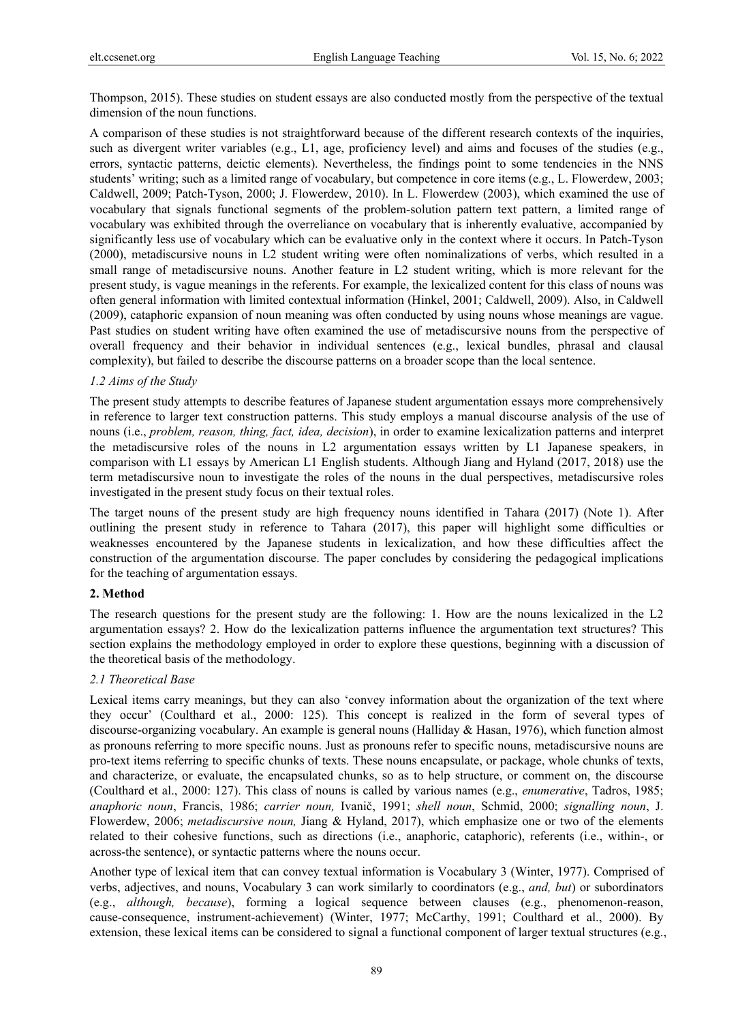Thompson, 2015). These studies on student essays are also conducted mostly from the perspective of the textual dimension of the noun functions.

A comparison of these studies is not straightforward because of the different research contexts of the inquiries, such as divergent writer variables (e.g., L1, age, proficiency level) and aims and focuses of the studies (e.g., errors, syntactic patterns, deictic elements). Nevertheless, the findings point to some tendencies in the NNS students' writing; such as a limited range of vocabulary, but competence in core items (e.g., L. Flowerdew, 2003; Caldwell, 2009; Patch-Tyson, 2000; J. Flowerdew, 2010). In L. Flowerdew (2003), which examined the use of vocabulary that signals functional segments of the problem-solution pattern text pattern, a limited range of vocabulary was exhibited through the overreliance on vocabulary that is inherently evaluative, accompanied by significantly less use of vocabulary which can be evaluative only in the context where it occurs. In Patch-Tyson (2000), metadiscursive nouns in L2 student writing were often nominalizations of verbs, which resulted in a small range of metadiscursive nouns. Another feature in L2 student writing, which is more relevant for the present study, is vague meanings in the referents. For example, the lexicalized content for this class of nouns was often general information with limited contextual information (Hinkel, 2001; Caldwell, 2009). Also, in Caldwell (2009), cataphoric expansion of noun meaning was often conducted by using nouns whose meanings are vague. Past studies on student writing have often examined the use of metadiscursive nouns from the perspective of overall frequency and their behavior in individual sentences (e.g., lexical bundles, phrasal and clausal complexity), but failed to describe the discourse patterns on a broader scope than the local sentence.

#### *1.2 Aims of the Study*

The present study attempts to describe features of Japanese student argumentation essays more comprehensively in reference to larger text construction patterns. This study employs a manual discourse analysis of the use of nouns (i.e., *problem, reason, thing, fact, idea, decision*), in order to examine lexicalization patterns and interpret the metadiscursive roles of the nouns in L2 argumentation essays written by L1 Japanese speakers, in comparison with L1 essays by American L1 English students. Although Jiang and Hyland (2017, 2018) use the term metadiscursive noun to investigate the roles of the nouns in the dual perspectives, metadiscursive roles investigated in the present study focus on their textual roles.

The target nouns of the present study are high frequency nouns identified in Tahara (2017) (Note 1). After outlining the present study in reference to Tahara (2017), this paper will highlight some difficulties or weaknesses encountered by the Japanese students in lexicalization, and how these difficulties affect the construction of the argumentation discourse. The paper concludes by considering the pedagogical implications for the teaching of argumentation essays.

#### **2. Method**

The research questions for the present study are the following: 1. How are the nouns lexicalized in the L2 argumentation essays? 2. How do the lexicalization patterns influence the argumentation text structures? This section explains the methodology employed in order to explore these questions, beginning with a discussion of the theoretical basis of the methodology.

#### *2.1 Theoretical Base*

Lexical items carry meanings, but they can also 'convey information about the organization of the text where they occur' (Coulthard et al., 2000: 125). This concept is realized in the form of several types of discourse-organizing vocabulary. An example is general nouns (Halliday & Hasan, 1976), which function almost as pronouns referring to more specific nouns. Just as pronouns refer to specific nouns, metadiscursive nouns are pro-text items referring to specific chunks of texts. These nouns encapsulate, or package, whole chunks of texts, and characterize, or evaluate, the encapsulated chunks, so as to help structure, or comment on, the discourse (Coulthard et al., 2000: 127). This class of nouns is called by various names (e.g., *enumerative*, Tadros, 1985; *anaphoric noun*, Francis, 1986; *carrier noun,* Ivanič, 1991; *shell noun*, Schmid, 2000; *signalling noun*, J. Flowerdew, 2006; *metadiscursive noun,* Jiang & Hyland, 2017), which emphasize one or two of the elements related to their cohesive functions, such as directions (i.e., anaphoric, cataphoric), referents (i.e., within-, or across-the sentence), or syntactic patterns where the nouns occur.

Another type of lexical item that can convey textual information is Vocabulary 3 (Winter, 1977). Comprised of verbs, adjectives, and nouns, Vocabulary 3 can work similarly to coordinators (e.g., *and, but*) or subordinators (e.g., *although, because*), forming a logical sequence between clauses (e.g., phenomenon-reason, cause-consequence, instrument-achievement) (Winter, 1977; McCarthy, 1991; Coulthard et al., 2000). By extension, these lexical items can be considered to signal a functional component of larger textual structures (e.g.,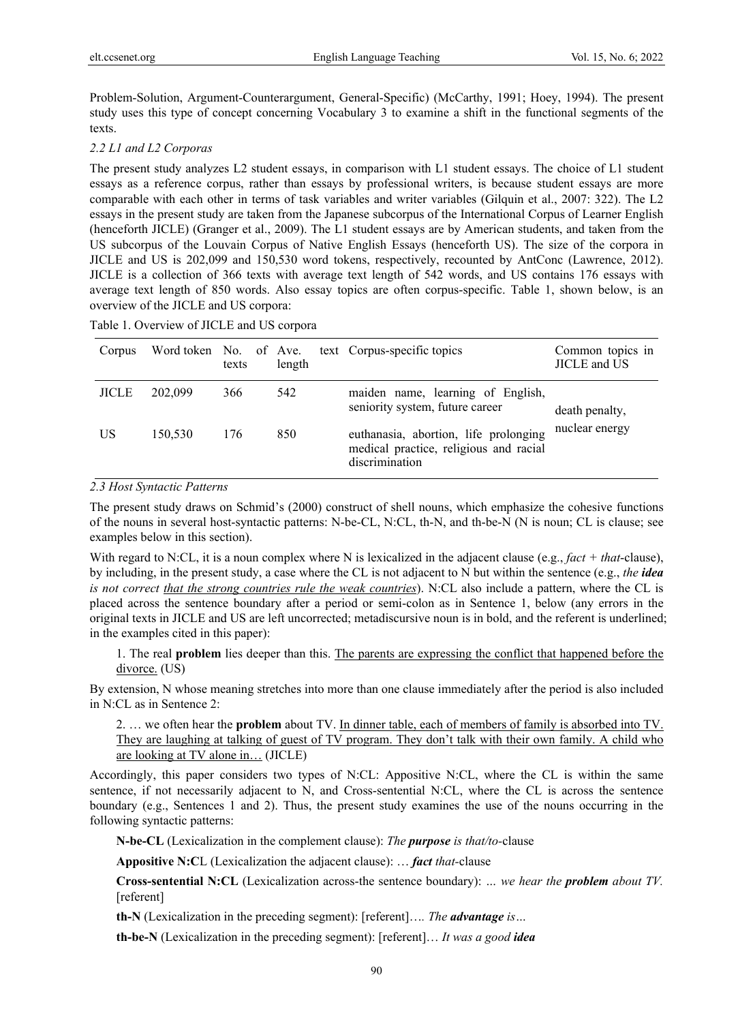Problem-Solution, Argument-Counterargument, General-Specific) (McCarthy, 1991; Hoey, 1994). The present study uses this type of concept concerning Vocabulary 3 to examine a shift in the functional segments of the texts.

# *2.2 L1 and L2 Corporas*

The present study analyzes L2 student essays, in comparison with L1 student essays. The choice of L1 student essays as a reference corpus, rather than essays by professional writers, is because student essays are more comparable with each other in terms of task variables and writer variables (Gilquin et al., 2007: 322). The L2 essays in the present study are taken from the Japanese subcorpus of the International Corpus of Learner English (henceforth JICLE) (Granger et al., 2009). The L1 student essays are by American students, and taken from the US subcorpus of the Louvain Corpus of Native English Essays (henceforth US). The size of the corpora in JICLE and US is 202,099 and 150,530 word tokens, respectively, recounted by AntConc (Lawrence, 2012). JICLE is a collection of 366 texts with average text length of 542 words, and US contains 176 essays with average text length of 850 words. Also essay topics are often corpus-specific. Table 1, shown below, is an overview of the JICLE and US corpora:

Table 1. Overview of JICLE and US corpora

| Corpus       | Word token No. of Ave. | texts | length | text Corpus-specific topics                                                                       | Common topics in<br>JICLE and US |  |
|--------------|------------------------|-------|--------|---------------------------------------------------------------------------------------------------|----------------------------------|--|
| <b>JICLE</b> | 202,099                | 366   | 542    | maiden name, learning of English,<br>seniority system, future career                              | death penalty,<br>nuclear energy |  |
| US           | 150,530                | 176   | 850    | euthanasia, abortion, life prolonging<br>medical practice, religious and racial<br>discrimination |                                  |  |

#### *2.3 Host Syntactic Patterns*

The present study draws on Schmid's (2000) construct of shell nouns, which emphasize the cohesive functions of the nouns in several host-syntactic patterns: N-be-CL, N:CL, th-N, and th-be-N (N is noun; CL is clause; see examples below in this section).

With regard to N:CL, it is a noun complex where N is lexicalized in the adjacent clause (e.g., *fact + that*-clause), by including, in the present study, a case where the CL is not adjacent to N but within the sentence (e.g., *the idea is not correct that the strong countries rule the weak countries*). N:CL also include a pattern, where the CL is placed across the sentence boundary after a period or semi-colon as in Sentence 1, below (any errors in the original texts in JICLE and US are left uncorrected; metadiscursive noun is in bold, and the referent is underlined; in the examples cited in this paper):

1. The real **problem** lies deeper than this. The parents are expressing the conflict that happened before the divorce. (US)

By extension, N whose meaning stretches into more than one clause immediately after the period is also included in N:CL as in Sentence 2:

2. … we often hear the **problem** about TV. In dinner table, each of members of family is absorbed into TV. They are laughing at talking of guest of TV program. They don't talk with their own family. A child who are looking at TV alone in… (JICLE)

Accordingly, this paper considers two types of N:CL: Appositive N:CL, where the CL is within the same sentence, if not necessarily adjacent to N, and Cross-sentential N:CL, where the CL is across the sentence boundary (e.g., Sentences 1 and 2). Thus, the present study examines the use of the nouns occurring in the following syntactic patterns:

**N-be-CL** (Lexicalization in the complement clause): *The purpose is that/to-*clause

**Appositive N:C**L (Lexicalization the adjacent clause): … *fact that-*clause

**Cross-sentential N:CL** (Lexicalization across-the sentence boundary): *… we hear the problem about TV.*  [referent]

**th-N** (Lexicalization in the preceding segment): [referent]…*. The advantage is…* 

**th-be-N** (Lexicalization in the preceding segment): [referent]… *It was a good idea*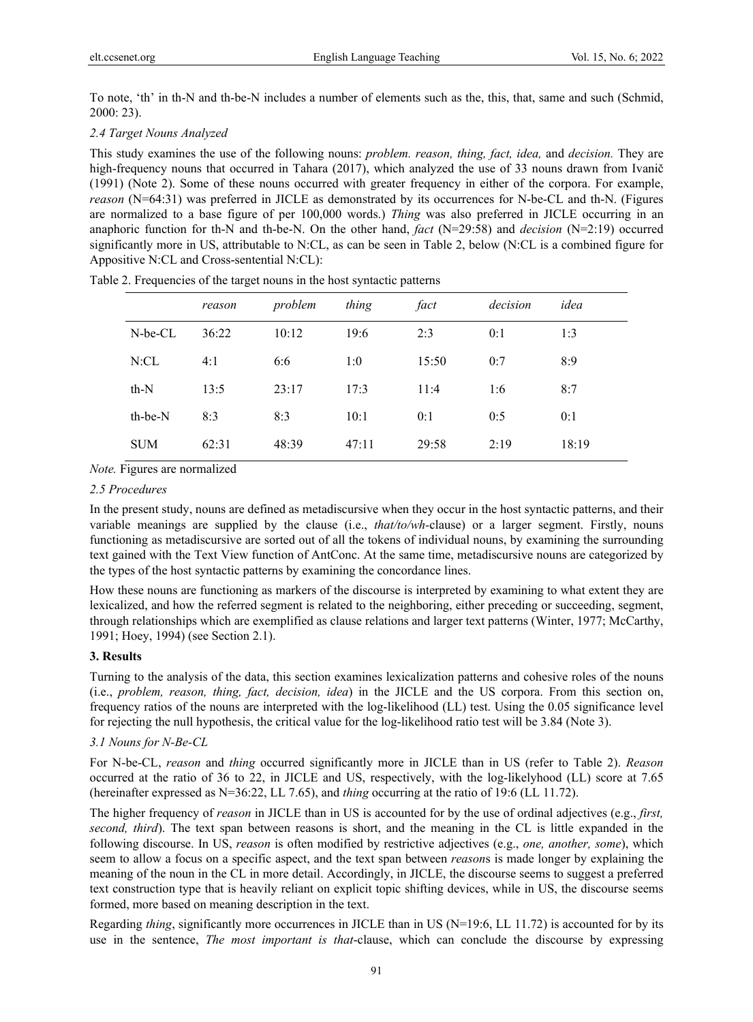To note, 'th' in th-N and th-be-N includes a number of elements such as the, this, that, same and such (Schmid, 2000: 23).

# *2.4 Target Nouns Analyzed*

This study examines the use of the following nouns: *problem. reason, thing, fact, idea,* and *decision.* They are high-frequency nouns that occurred in Tahara (2017), which analyzed the use of 33 nouns drawn from Ivanič (1991) (Note 2). Some of these nouns occurred with greater frequency in either of the corpora. For example, *reason* (N=64:31) was preferred in JICLE as demonstrated by its occurrences for N-be-CL and th-N. (Figures are normalized to a base figure of per 100,000 words.) *Thing* was also preferred in JICLE occurring in an anaphoric function for th-N and th-be-N. On the other hand, *fact* (N=29:58) and *decision* (N=2:19) occurred significantly more in US, attributable to N:CL, as can be seen in Table 2, below (N:CL is a combined figure for Appositive N:CL and Cross-sentential N:CL):

|               | reason | problem | thing | fact  | decision | idea  |
|---------------|--------|---------|-------|-------|----------|-------|
| $N$ -be- $CL$ | 36:22  | 10:12   | 19:6  | 2:3   | 0:1      | 1:3   |
| N:CL          | 4:1    | 6:6     | 1:0   | 15:50 | 0:7      | 8:9   |
| $th-N$        | 13:5   | 23:17   | 17:3  | 11:4  | 1:6      | 8:7   |
| th-be-N       | 8:3    | 8:3     | 10:1  | 0:1   | 0:5      | 0:1   |
| <b>SUM</b>    | 62:31  | 48:39   | 47:11 | 29:58 | 2:19     | 18:19 |

Table 2. Frequencies of the target nouns in the host syntactic patterns

#### *Note.* Figures are normalized

# *2.5 Procedures*

In the present study, nouns are defined as metadiscursive when they occur in the host syntactic patterns, and their variable meanings are supplied by the clause (i.e., *that/to/wh-*clause) or a larger segment. Firstly, nouns functioning as metadiscursive are sorted out of all the tokens of individual nouns, by examining the surrounding text gained with the Text View function of AntConc. At the same time, metadiscursive nouns are categorized by the types of the host syntactic patterns by examining the concordance lines.

How these nouns are functioning as markers of the discourse is interpreted by examining to what extent they are lexicalized, and how the referred segment is related to the neighboring, either preceding or succeeding, segment, through relationships which are exemplified as clause relations and larger text patterns (Winter, 1977; McCarthy, 1991; Hoey, 1994) (see Section 2.1).

#### **3. Results**

Turning to the analysis of the data, this section examines lexicalization patterns and cohesive roles of the nouns (i.e., *problem, reason, thing, fact, decision, idea*) in the JICLE and the US corpora. From this section on, frequency ratios of the nouns are interpreted with the log-likelihood (LL) test. Using the 0.05 significance level for rejecting the null hypothesis, the critical value for the log-likelihood ratio test will be 3.84 (Note 3).

## *3.1 Nouns for N-Be-CL*

For N-be-CL, *reason* and *thing* occurred significantly more in JICLE than in US (refer to Table 2). *Reason*  occurred at the ratio of 36 to 22, in JICLE and US, respectively, with the log-likelyhood (LL) score at 7.65 (hereinafter expressed as N=36:22, LL 7.65), and *thing* occurring at the ratio of 19:6 (LL 11.72).

The higher frequency of *reason* in JICLE than in US is accounted for by the use of ordinal adjectives (e.g., *first, second, third*). The text span between reasons is short, and the meaning in the CL is little expanded in the following discourse. In US, *reason* is often modified by restrictive adjectives (e.g., *one, another, some*), which seem to allow a focus on a specific aspect, and the text span between *reason*s is made longer by explaining the meaning of the noun in the CL in more detail. Accordingly, in JICLE, the discourse seems to suggest a preferred text construction type that is heavily reliant on explicit topic shifting devices, while in US, the discourse seems formed, more based on meaning description in the text.

Regarding *thing*, significantly more occurrences in JICLE than in US (N=19:6, LL 11.72) is accounted for by its use in the sentence, *The most important is that*-clause, which can conclude the discourse by expressing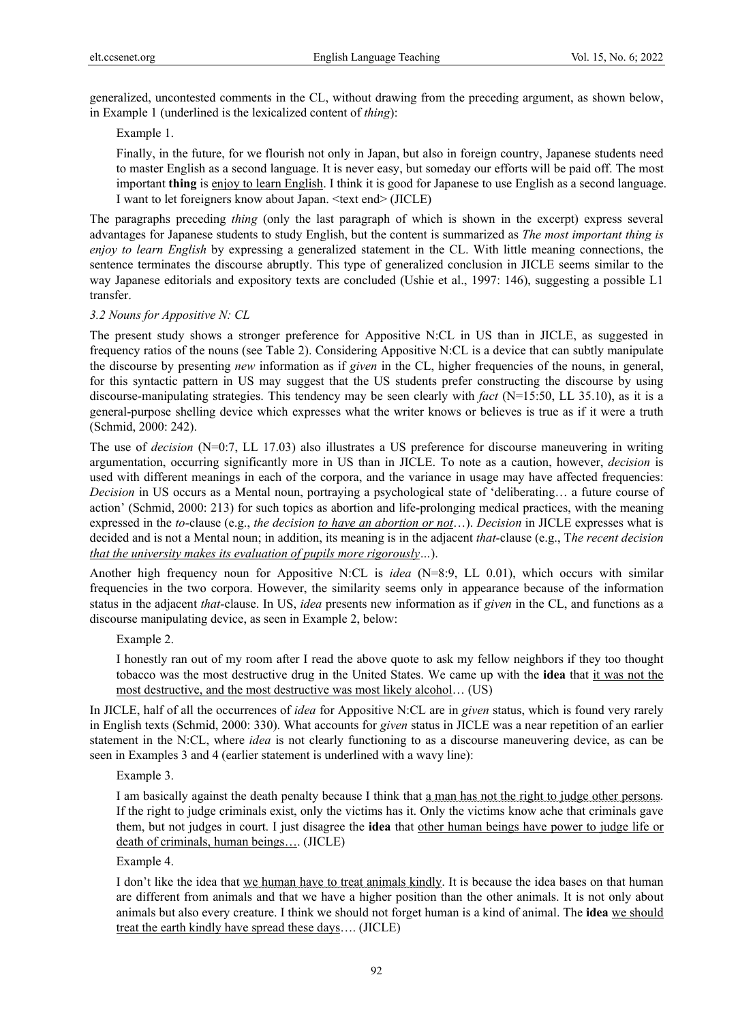generalized, uncontested comments in the CL, without drawing from the preceding argument, as shown below, in Example 1 (underlined is the lexicalized content of *thing*):

# Example 1.

Finally, in the future, for we flourish not only in Japan, but also in foreign country, Japanese students need to master English as a second language. It is never easy, but someday our efforts will be paid off. The most important **thing** is enjoy to learn English. I think it is good for Japanese to use English as a second language. I want to let foreigners know about Japan. <text end> (JICLE)

The paragraphs preceding *thing* (only the last paragraph of which is shown in the excerpt) express several advantages for Japanese students to study English, but the content is summarized as *The most important thing is enjoy to learn English* by expressing a generalized statement in the CL. With little meaning connections, the sentence terminates the discourse abruptly. This type of generalized conclusion in JICLE seems similar to the way Japanese editorials and expository texts are concluded (Ushie et al., 1997: 146), suggesting a possible L1 transfer.

# *3.2 Nouns for Appositive N: CL*

The present study shows a stronger preference for Appositive N:CL in US than in JICLE, as suggested in frequency ratios of the nouns (see Table 2). Considering Appositive N:CL is a device that can subtly manipulate the discourse by presenting *new* information as if *given* in the CL, higher frequencies of the nouns, in general, for this syntactic pattern in US may suggest that the US students prefer constructing the discourse by using discourse-manipulating strategies. This tendency may be seen clearly with *fact* (N=15:50, LL 35.10), as it is a general-purpose shelling device which expresses what the writer knows or believes is true as if it were a truth (Schmid, 2000: 242).

The use of *decision* (N=0:7, LL 17.03) also illustrates a US preference for discourse maneuvering in writing argumentation, occurring significantly more in US than in JICLE. To note as a caution, however, *decision* is used with different meanings in each of the corpora, and the variance in usage may have affected frequencies: *Decision* in US occurs as a Mental noun, portraying a psychological state of 'deliberating… a future course of action' (Schmid, 2000: 213) for such topics as abortion and life-prolonging medical practices, with the meaning expressed in the *to-*clause (e.g., *the decision to have an abortion or not*…). *Decision* in JICLE expresses what is decided and is not a Mental noun; in addition, its meaning is in the adjacent *that-*clause (e.g., T*he recent decision that the university makes its evaluation of pupils more rigorously…*).

Another high frequency noun for Appositive N:CL is *idea* (N=8:9, LL 0.01), which occurs with similar frequencies in the two corpora. However, the similarity seems only in appearance because of the information status in the adjacent *that-*clause. In US, *idea* presents new information as if *given* in the CL, and functions as a discourse manipulating device, as seen in Example 2, below:

Example 2.

I honestly ran out of my room after I read the above quote to ask my fellow neighbors if they too thought tobacco was the most destructive drug in the United States. We came up with the **idea** that it was not the most destructive, and the most destructive was most likely alcohol… (US)

In JICLE, half of all the occurrences of *idea* for Appositive N:CL are in *given* status, which is found very rarely in English texts (Schmid, 2000: 330). What accounts for *given* status in JICLE was a near repetition of an earlier statement in the N:CL, where *idea* is not clearly functioning to as a discourse maneuvering device, as can be seen in Examples 3 and 4 (earlier statement is underlined with a wavy line):

Example 3.

I am basically against the death penalty because I think that a man has not the right to judge other persons. If the right to judge criminals exist, only the victims has it. Only the victims know ache that criminals gave them, but not judges in court. I just disagree the **idea** that other human beings have power to judge life or death of criminals, human beings…. (JICLE)

Example 4.

I don't like the idea that we human have to treat animals kindly. It is because the idea bases on that human are different from animals and that we have a higher position than the other animals. It is not only about animals but also every creature. I think we should not forget human is a kind of animal. The **idea** we should treat the earth kindly have spread these days…. (JICLE)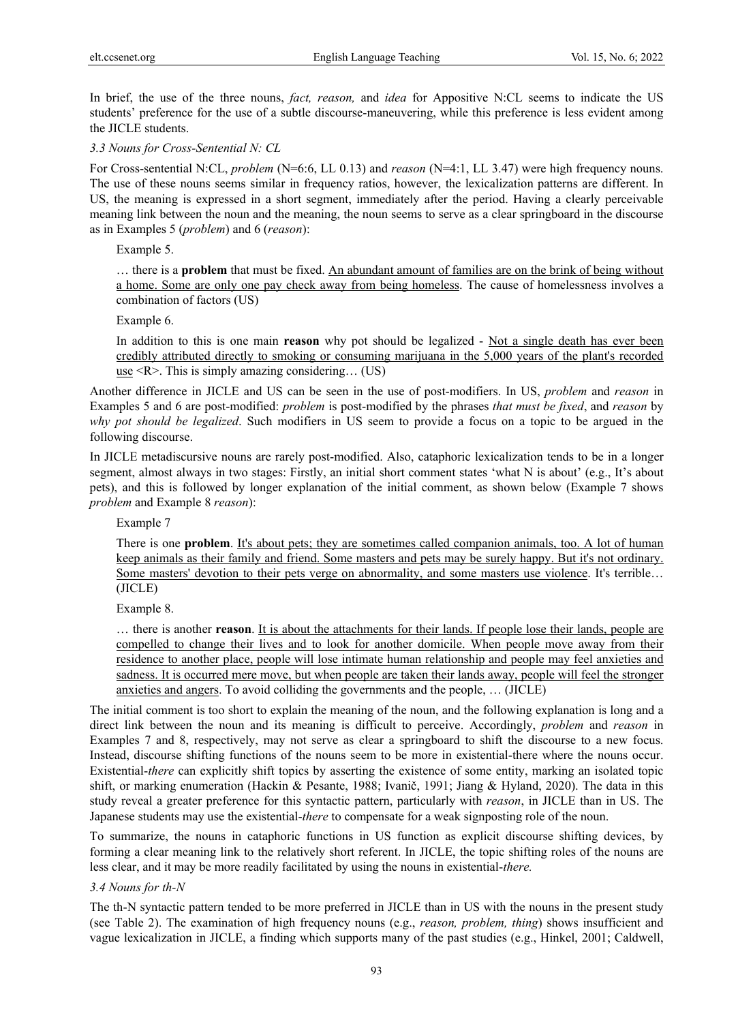In brief, the use of the three nouns, *fact, reason,* and *idea* for Appositive N:CL seems to indicate the US students' preference for the use of a subtle discourse-maneuvering, while this preference is less evident among the JICLE students.

*3.3 Nouns for Cross-Sentential N: CL*

For Cross-sentential N:CL, *problem* (N=6:6, LL 0.13) and *reason* (N=4:1, LL 3.47) were high frequency nouns. The use of these nouns seems similar in frequency ratios, however, the lexicalization patterns are different. In US, the meaning is expressed in a short segment, immediately after the period. Having a clearly perceivable meaning link between the noun and the meaning, the noun seems to serve as a clear springboard in the discourse as in Examples 5 (*problem*) and 6 (*reason*):

Example 5.

… there is a **problem** that must be fixed. An abundant amount of families are on the brink of being without a home. Some are only one pay check away from being homeless. The cause of homelessness involves a combination of factors (US)

Example 6.

In addition to this is one main **reason** why pot should be legalized - Not a single death has ever been credibly attributed directly to smoking or consuming marijuana in the 5,000 years of the plant's recorded use  $\leq R$ . This is simply amazing considering... (US)

Another difference in JICLE and US can be seen in the use of post-modifiers. In US, *problem* and *reason* in Examples 5 and 6 are post-modified: *problem* is post-modified by the phrases *that must be fixed*, and *reason* by *why pot should be legalized*. Such modifiers in US seem to provide a focus on a topic to be argued in the following discourse.

In JICLE metadiscursive nouns are rarely post-modified. Also, cataphoric lexicalization tends to be in a longer segment, almost always in two stages: Firstly, an initial short comment states 'what N is about' (e.g., It's about pets), and this is followed by longer explanation of the initial comment, as shown below (Example 7 shows *problem* and Example 8 *reason*):

Example 7

There is one **problem**. It's about pets; they are sometimes called companion animals, too. A lot of human keep animals as their family and friend. Some masters and pets may be surely happy. But it's not ordinary. Some masters' devotion to their pets verge on abnormality, and some masters use violence. It's terrible… (JICLE)

Example 8.

… there is another **reason**. It is about the attachments for their lands. If people lose their lands, people are compelled to change their lives and to look for another domicile. When people move away from their residence to another place, people will lose intimate human relationship and people may feel anxieties and sadness. It is occurred mere move, but when people are taken their lands away, people will feel the stronger anxieties and angers. To avoid colliding the governments and the people, … (JICLE)

The initial comment is too short to explain the meaning of the noun, and the following explanation is long and a direct link between the noun and its meaning is difficult to perceive. Accordingly, *problem* and *reason* in Examples 7 and 8, respectively, may not serve as clear a springboard to shift the discourse to a new focus. Instead, discourse shifting functions of the nouns seem to be more in existential-there where the nouns occur. Existential-*there* can explicitly shift topics by asserting the existence of some entity, marking an isolated topic shift, or marking enumeration (Hackin & Pesante, 1988; Ivanič, 1991; Jiang & Hyland, 2020). The data in this study reveal a greater preference for this syntactic pattern, particularly with *reason*, in JICLE than in US. The Japanese students may use the existential-*there* to compensate for a weak signposting role of the noun.

To summarize, the nouns in cataphoric functions in US function as explicit discourse shifting devices, by forming a clear meaning link to the relatively short referent. In JICLE, the topic shifting roles of the nouns are less clear, and it may be more readily facilitated by using the nouns in existential-*there.*

*3.4 Nouns for th-N*

The th-N syntactic pattern tended to be more preferred in JICLE than in US with the nouns in the present study (see Table 2). The examination of high frequency nouns (e.g., *reason, problem, thing*) shows insufficient and vague lexicalization in JICLE, a finding which supports many of the past studies (e.g., Hinkel, 2001; Caldwell,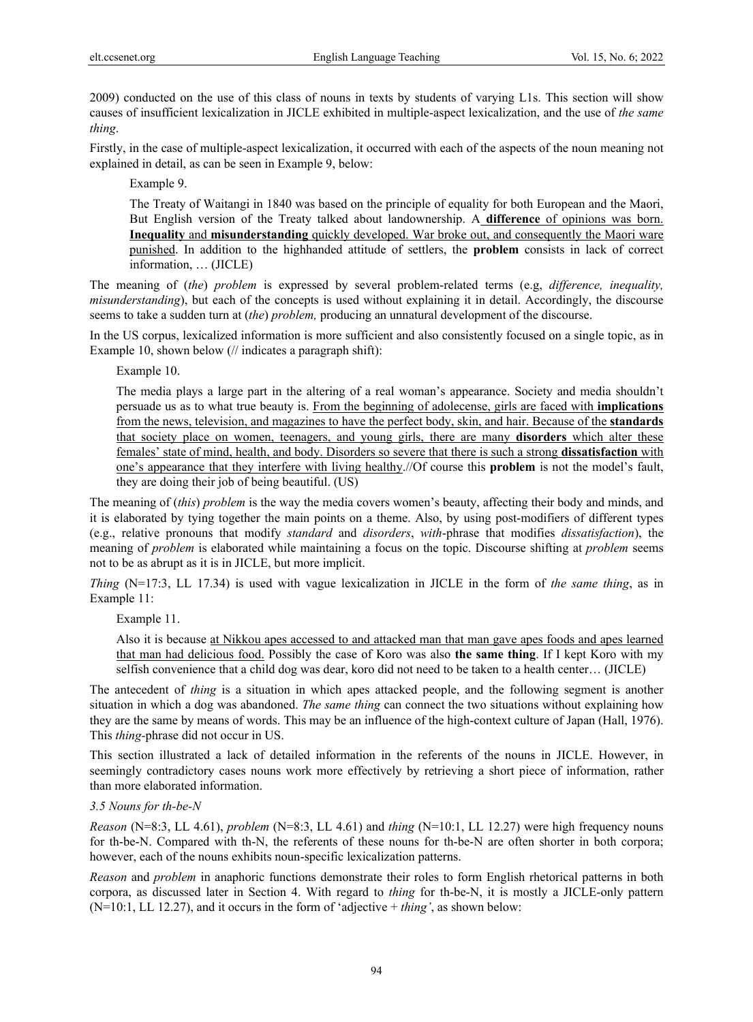2009) conducted on the use of this class of nouns in texts by students of varying L1s. This section will show causes of insufficient lexicalization in JICLE exhibited in multiple-aspect lexicalization, and the use of *the same thing*.

Firstly, in the case of multiple-aspect lexicalization, it occurred with each of the aspects of the noun meaning not explained in detail, as can be seen in Example 9, below:

Example 9.

The Treaty of Waitangi in 1840 was based on the principle of equality for both European and the Maori, But English version of the Treaty talked about landownership. A **difference** of opinions was born. **Inequality** and **misunderstanding** quickly developed. War broke out, and consequently the Maori ware punished. In addition to the highhanded attitude of settlers, the **problem** consists in lack of correct information, … (JICLE)

The meaning of (*the*) *problem* is expressed by several problem-related terms (e.g, *difference, inequality, misunderstanding*), but each of the concepts is used without explaining it in detail. Accordingly, the discourse seems to take a sudden turn at (*the*) *problem,* producing an unnatural development of the discourse.

In the US corpus, lexicalized information is more sufficient and also consistently focused on a single topic, as in Example 10, shown below (// indicates a paragraph shift):

Example 10.

The media plays a large part in the altering of a real woman's appearance. Society and media shouldn't persuade us as to what true beauty is. From the beginning of adolecense, girls are faced with **implications**  from the news, television, and magazines to have the perfect body, skin, and hair. Because of the **standards**  that society place on women, teenagers, and young girls, there are many **disorders** which alter these females' state of mind, health, and body. Disorders so severe that there is such a strong **dissatisfaction** with one's appearance that they interfere with living healthy.//Of course this **problem** is not the model's fault, they are doing their job of being beautiful. (US)

The meaning of (*this*) *problem* is the way the media covers women's beauty, affecting their body and minds, and it is elaborated by tying together the main points on a theme. Also, by using post-modifiers of different types (e.g., relative pronouns that modify *standard* and *disorders*, *with*-phrase that modifies *dissatisfaction*), the meaning of *problem* is elaborated while maintaining a focus on the topic. Discourse shifting at *problem* seems not to be as abrupt as it is in JICLE, but more implicit.

*Thing* (N=17:3, LL 17.34) is used with vague lexicalization in JICLE in the form of *the same thing*, as in Example 11:

Example 11.

Also it is because at Nikkou apes accessed to and attacked man that man gave apes foods and apes learned that man had delicious food. Possibly the case of Koro was also **the same thing**. If I kept Koro with my selfish convenience that a child dog was dear, koro did not need to be taken to a health center… (JICLE)

The antecedent of *thing* is a situation in which apes attacked people, and the following segment is another situation in which a dog was abandoned. *The same thing* can connect the two situations without explaining how they are the same by means of words. This may be an influence of the high-context culture of Japan (Hall, 1976). This *thing-*phrase did not occur in US.

This section illustrated a lack of detailed information in the referents of the nouns in JICLE. However, in seemingly contradictory cases nouns work more effectively by retrieving a short piece of information, rather than more elaborated information.

#### *3.5 Nouns for th-be-N*

*Reason* (N=8:3, LL 4.61), *problem* (N=8:3, LL 4.61) and *thing* (N=10:1, LL 12.27) were high frequency nouns for th-be-N. Compared with th-N, the referents of these nouns for th-be-N are often shorter in both corpora; however, each of the nouns exhibits noun-specific lexicalization patterns.

*Reason* and *problem* in anaphoric functions demonstrate their roles to form English rhetorical patterns in both corpora, as discussed later in Section 4. With regard to *thing* for th-be-N, it is mostly a JICLE-only pattern (N=10:1, LL 12.27), and it occurs in the form of 'adjective + *thing'*, as shown below: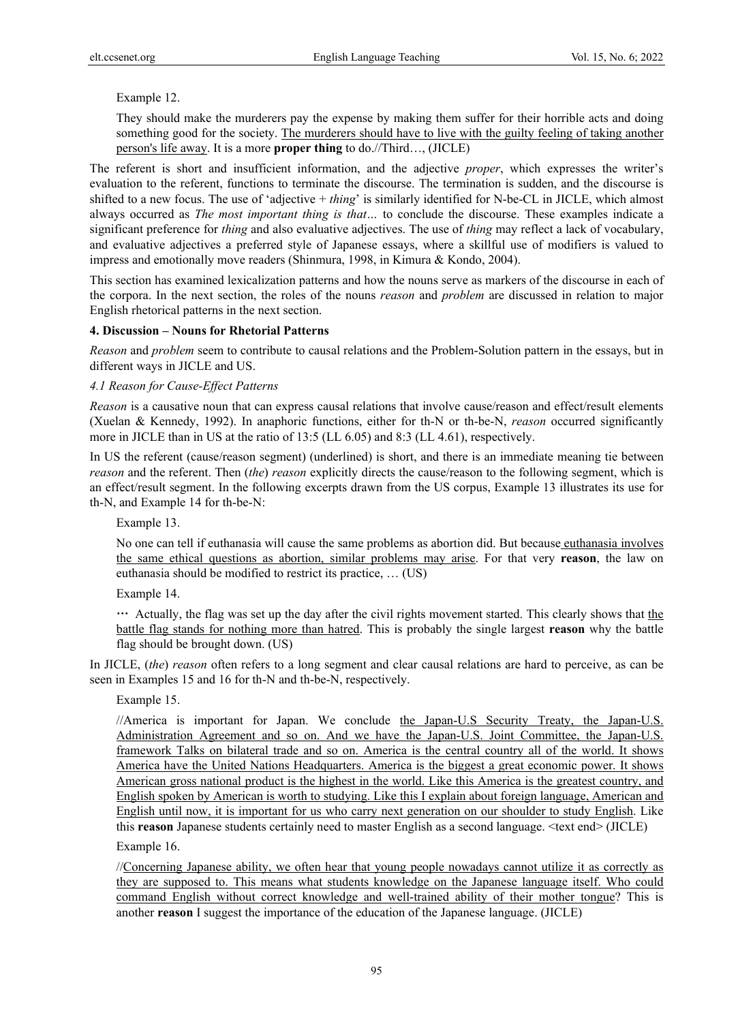# Example 12.

They should make the murderers pay the expense by making them suffer for their horrible acts and doing something good for the society. The murderers should have to live with the guilty feeling of taking another person's life away. It is a more **proper thing** to do.//Third…, (JICLE)

The referent is short and insufficient information, and the adjective *proper*, which expresses the writer's evaluation to the referent, functions to terminate the discourse. The termination is sudden, and the discourse is shifted to a new focus. The use of 'adjective + *thing*' is similarly identified for N-be-CL in JICLE, which almost always occurred as *The most important thing is that…* to conclude the discourse. These examples indicate a significant preference for *thing* and also evaluative adjectives. The use of *thing* may reflect a lack of vocabulary, and evaluative adjectives a preferred style of Japanese essays, where a skillful use of modifiers is valued to impress and emotionally move readers (Shinmura, 1998, in Kimura & Kondo, 2004).

This section has examined lexicalization patterns and how the nouns serve as markers of the discourse in each of the corpora. In the next section, the roles of the nouns *reason* and *problem* are discussed in relation to major English rhetorical patterns in the next section.

#### **4. Discussion – Nouns for Rhetorial Patterns**

*Reason* and *problem* seem to contribute to causal relations and the Problem-Solution pattern in the essays, but in different ways in JICLE and US.

#### *4.1 Reason for Cause-Effect Patterns*

*Reason* is a causative noun that can express causal relations that involve cause/reason and effect/result elements (Xuelan & Kennedy, 1992). In anaphoric functions, either for th-N or th-be-N, *reason* occurred significantly more in JICLE than in US at the ratio of 13:5 (LL 6.05) and 8:3 (LL 4.61), respectively.

In US the referent (cause/reason segment) (underlined) is short, and there is an immediate meaning tie between *reason* and the referent. Then (*the*) *reason* explicitly directs the cause/reason to the following segment, which is an effect/result segment. In the following excerpts drawn from the US corpus, Example 13 illustrates its use for th-N, and Example 14 for th-be-N:

Example 13.

No one can tell if euthanasia will cause the same problems as abortion did. But because euthanasia involves the same ethical questions as abortion, similar problems may arise. For that very **reason**, the law on euthanasia should be modified to restrict its practice, … (US)

Example 14.

… Actually, the flag was set up the day after the civil rights movement started. This clearly shows that the battle flag stands for nothing more than hatred. This is probably the single largest **reason** why the battle flag should be brought down. (US)

In JICLE, (*the*) *reason* often refers to a long segment and clear causal relations are hard to perceive, as can be seen in Examples 15 and 16 for th-N and th-be-N, respectively.

# Example 15.

//America is important for Japan. We conclude the Japan-U.S Security Treaty, the Japan-U.S. Administration Agreement and so on. And we have the Japan-U.S. Joint Committee, the Japan-U.S. framework Talks on bilateral trade and so on. America is the central country all of the world. It shows America have the United Nations Headquarters. America is the biggest a great economic power. It shows American gross national product is the highest in the world. Like this America is the greatest country, and English spoken by American is worth to studying. Like this I explain about foreign language, American and English until now, it is important for us who carry next generation on our shoulder to study English. Like this **reason** Japanese students certainly need to master English as a second language. <text end> (JICLE)

Example 16.

//Concerning Japanese ability, we often hear that young people nowadays cannot utilize it as correctly as they are supposed to. This means what students knowledge on the Japanese language itself. Who could command English without correct knowledge and well-trained ability of their mother tongue? This is another **reason** I suggest the importance of the education of the Japanese language. (JICLE)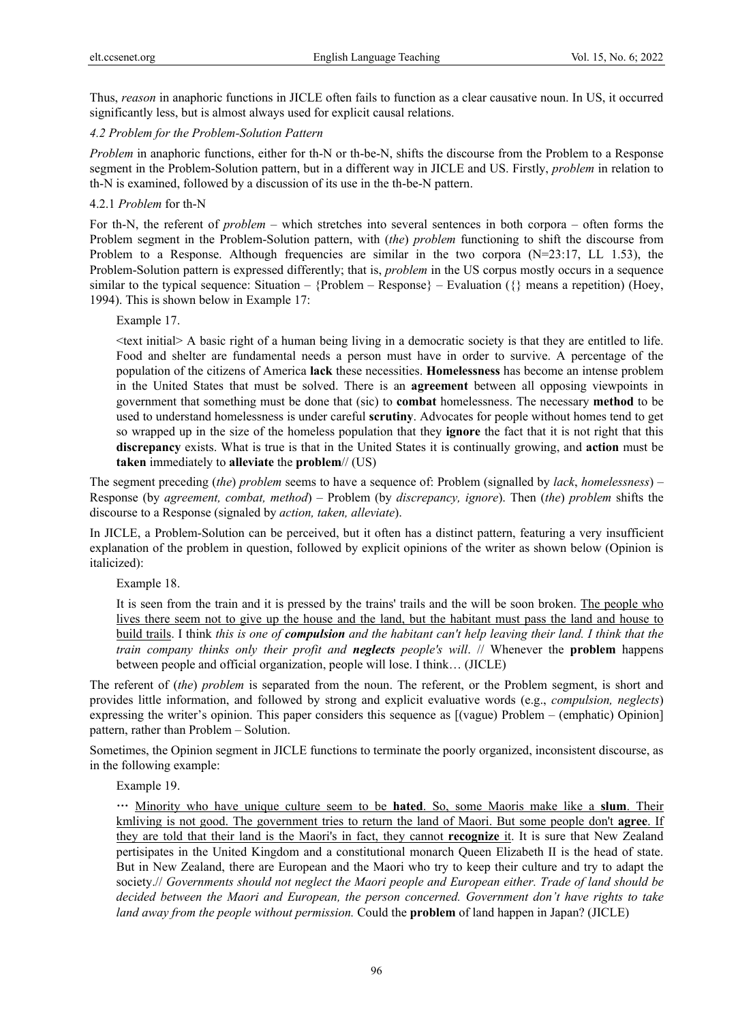Thus, *reason* in anaphoric functions in JICLE often fails to function as a clear causative noun. In US, it occurred significantly less, but is almost always used for explicit causal relations.

# *4.2 Problem for the Problem-Solution Pattern*

*Problem* in anaphoric functions, either for th-N or th-be-N, shifts the discourse from the Problem to a Response segment in the Problem-Solution pattern, but in a different way in JICLE and US. Firstly, *problem* in relation to th-N is examined, followed by a discussion of its use in the th-be-N pattern.

# 4.2.1 *Problem* for th-N

For th-N, the referent of *problem* – which stretches into several sentences in both corpora – often forms the Problem segment in the Problem-Solution pattern, with (*the*) *problem* functioning to shift the discourse from Problem to a Response. Although frequencies are similar in the two corpora  $(N=23:17, LL 1.53)$ , the Problem-Solution pattern is expressed differently; that is, *problem* in the US corpus mostly occurs in a sequence similar to the typical sequence: Situation –  ${Problem - Response} - Evaluate$ Valuation ( $\{\}$  means a repetition) (Hoey, 1994). This is shown below in Example 17:

Example 17.

 $\le$ text initial $\ge$  A basic right of a human being living in a democratic society is that they are entitled to life. Food and shelter are fundamental needs a person must have in order to survive. A percentage of the population of the citizens of America **lack** these necessities. **Homelessness** has become an intense problem in the United States that must be solved. There is an **agreement** between all opposing viewpoints in government that something must be done that (sic) to **combat** homelessness. The necessary **method** to be used to understand homelessness is under careful **scrutiny**. Advocates for people without homes tend to get so wrapped up in the size of the homeless population that they **ignore** the fact that it is not right that this **discrepancy** exists. What is true is that in the United States it is continually growing, and **action** must be **taken** immediately to **alleviate** the **problem**// (US)

The segment preceding (*the*) *problem* seems to have a sequence of: Problem (signalled by *lack*, *homelessness*) – Response (by *agreement, combat, method*) – Problem (by *discrepancy, ignore*). Then (*the*) *problem* shifts the discourse to a Response (signaled by *action, taken, alleviate*).

In JICLE, a Problem-Solution can be perceived, but it often has a distinct pattern, featuring a very insufficient explanation of the problem in question, followed by explicit opinions of the writer as shown below (Opinion is italicized):

Example 18.

It is seen from the train and it is pressed by the trains' trails and the will be soon broken. The people who lives there seem not to give up the house and the land, but the habitant must pass the land and house to build trails. I think *this is one of compulsion and the habitant can't help leaving their land. I think that the train company thinks only their profit and neglects people's will*. // Whenever the **problem** happens between people and official organization, people will lose. I think… (JICLE)

The referent of (*the*) *problem* is separated from the noun. The referent, or the Problem segment, is short and provides little information, and followed by strong and explicit evaluative words (e.g., *compulsion, neglects*) expressing the writer's opinion. This paper considers this sequence as [(vague) Problem – (emphatic) Opinion] pattern, rather than Problem – Solution.

Sometimes, the Opinion segment in JICLE functions to terminate the poorly organized, inconsistent discourse, as in the following example:

Example 19.

… Minority who have unique culture seem to be **hated**. So, some Maoris make like a **slum**. Their kmliving is not good. The government tries to return the land of Maori. But some people don't **agree**. If they are told that their land is the Maori's in fact, they cannot **recognize** it. It is sure that New Zealand pertisipates in the United Kingdom and a constitutional monarch Queen Elizabeth II is the head of state. But in New Zealand, there are European and the Maori who try to keep their culture and try to adapt the society.// *Governments should not neglect the Maori people and European either. Trade of land should be decided between the Maori and European, the person concerned. Government don't have rights to take land away from the people without permission.* Could the **problem** of land happen in Japan? (JICLE)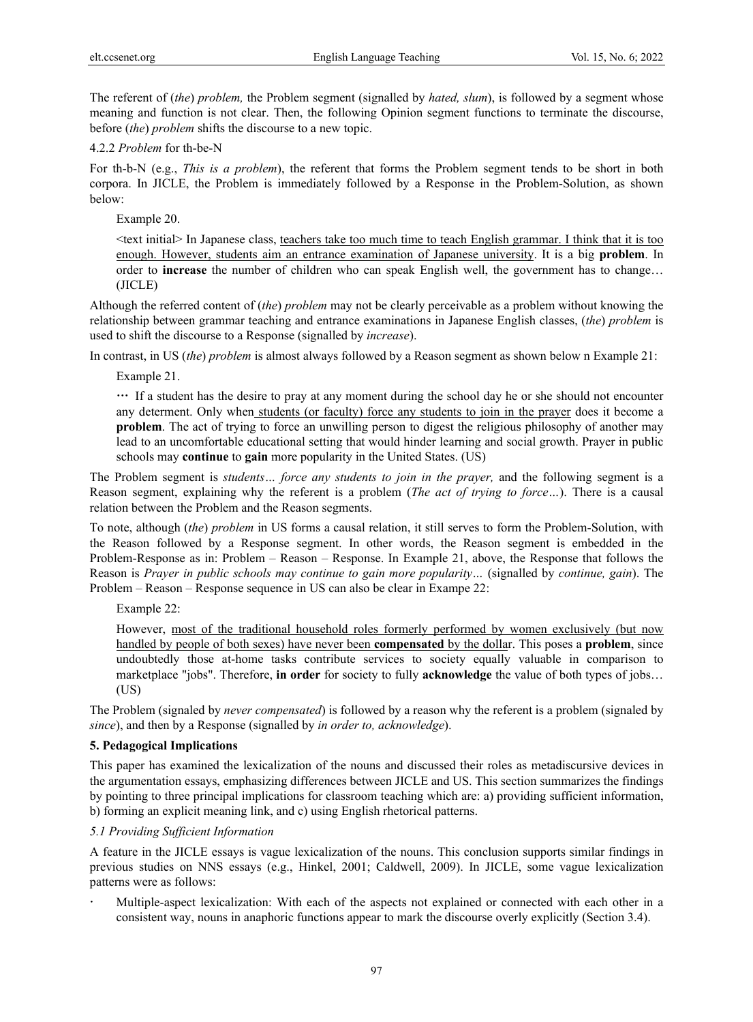The referent of (*the*) *problem,* the Problem segment (signalled by *hated, slum*), is followed by a segment whose meaning and function is not clear. Then, the following Opinion segment functions to terminate the discourse, before (*the*) *problem* shifts the discourse to a new topic.

# 4.2.2 *Problem* for th-be-N

For th-b-N (e.g., *This is a problem*), the referent that forms the Problem segment tends to be short in both corpora. In JICLE, the Problem is immediately followed by a Response in the Problem-Solution, as shown below:

Example 20.

 $\le$ text initial $>$  In Japanese class, teachers take too much time to teach English grammar. I think that it is too enough. However, students aim an entrance examination of Japanese university. It is a big **problem**. In order to **increase** the number of children who can speak English well, the government has to change… (JICLE)

Although the referred content of (*the*) *problem* may not be clearly perceivable as a problem without knowing the relationship between grammar teaching and entrance examinations in Japanese English classes, (*the*) *problem* is used to shift the discourse to a Response (signalled by *increase*).

In contrast, in US (*the*) *problem* is almost always followed by a Reason segment as shown below n Example 21:

Example 21.

… If a student has the desire to pray at any moment during the school day he or she should not encounter any determent. Only when students (or faculty) force any students to join in the prayer does it become a **problem**. The act of trying to force an unwilling person to digest the religious philosophy of another may lead to an uncomfortable educational setting that would hinder learning and social growth. Prayer in public schools may **continue** to **gain** more popularity in the United States. (US)

The Problem segment is *students… force any students to join in the prayer,* and the following segment is a Reason segment, explaining why the referent is a problem (*The act of trying to force…*). There is a causal relation between the Problem and the Reason segments.

To note, although (*the*) *problem* in US forms a causal relation, it still serves to form the Problem-Solution, with the Reason followed by a Response segment. In other words, the Reason segment is embedded in the Problem-Response as in: Problem – Reason – Response. In Example 21, above, the Response that follows the Reason is *Prayer in public schools may continue to gain more popularity…* (signalled by *continue, gain*). The Problem – Reason – Response sequence in US can also be clear in Exampe 22:

Example 22:

However, most of the traditional household roles formerly performed by women exclusively (but now handled by people of both sexes) have never been **compensated** by the dollar. This poses a **problem**, since undoubtedly those at-home tasks contribute services to society equally valuable in comparison to marketplace "jobs". Therefore, **in order** for society to fully **acknowledge** the value of both types of jobs… (US)

The Problem (signaled by *never compensated*) is followed by a reason why the referent is a problem (signaled by *since*), and then by a Response (signalled by *in order to, acknowledge*).

# **5. Pedagogical Implications**

This paper has examined the lexicalization of the nouns and discussed their roles as metadiscursive devices in the argumentation essays, emphasizing differences between JICLE and US. This section summarizes the findings by pointing to three principal implications for classroom teaching which are: a) providing sufficient information, b) forming an explicit meaning link, and c) using English rhetorical patterns.

# *5.1 Providing Sufficient Information*

A feature in the JICLE essays is vague lexicalization of the nouns. This conclusion supports similar findings in previous studies on NNS essays (e.g., Hinkel, 2001; Caldwell, 2009). In JICLE, some vague lexicalization patterns were as follows:

 Multiple-aspect lexicalization: With each of the aspects not explained or connected with each other in a consistent way, nouns in anaphoric functions appear to mark the discourse overly explicitly (Section 3.4).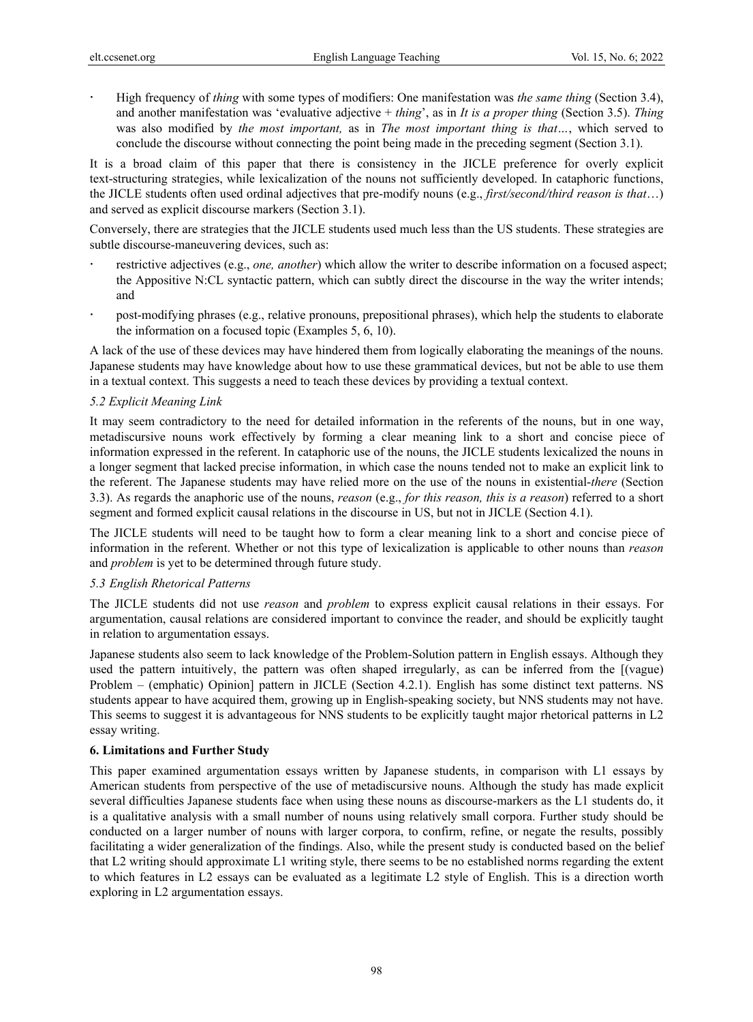High frequency of *thing* with some types of modifiers: One manifestation was *the same thing* (Section 3.4), and another manifestation was 'evaluative adjective + *thing*', as in *It is a proper thing* (Section 3.5). *Thing*  was also modified by *the most important,* as in *The most important thing is that…*, which served to conclude the discourse without connecting the point being made in the preceding segment (Section 3.1).

It is a broad claim of this paper that there is consistency in the JICLE preference for overly explicit text-structuring strategies, while lexicalization of the nouns not sufficiently developed. In cataphoric functions, the JICLE students often used ordinal adjectives that pre-modify nouns (e.g., *first/second/third reason is that*…) and served as explicit discourse markers (Section 3.1).

Conversely, there are strategies that the JICLE students used much less than the US students. These strategies are subtle discourse-maneuvering devices, such as:

- restrictive adjectives (e.g., *one, another*) which allow the writer to describe information on a focused aspect; the Appositive N:CL syntactic pattern, which can subtly direct the discourse in the way the writer intends; and
- post-modifying phrases (e.g., relative pronouns, prepositional phrases), which help the students to elaborate the information on a focused topic (Examples 5, 6, 10).

A lack of the use of these devices may have hindered them from logically elaborating the meanings of the nouns. Japanese students may have knowledge about how to use these grammatical devices, but not be able to use them in a textual context. This suggests a need to teach these devices by providing a textual context.

# *5.2 Explicit Meaning Link*

It may seem contradictory to the need for detailed information in the referents of the nouns, but in one way, metadiscursive nouns work effectively by forming a clear meaning link to a short and concise piece of information expressed in the referent. In cataphoric use of the nouns, the JICLE students lexicalized the nouns in a longer segment that lacked precise information, in which case the nouns tended not to make an explicit link to the referent. The Japanese students may have relied more on the use of the nouns in existential-*there* (Section 3.3). As regards the anaphoric use of the nouns, *reason* (e.g., *for this reason, this is a reason*) referred to a short segment and formed explicit causal relations in the discourse in US, but not in JICLE (Section 4.1).

The JICLE students will need to be taught how to form a clear meaning link to a short and concise piece of information in the referent. Whether or not this type of lexicalization is applicable to other nouns than *reason* and *problem* is yet to be determined through future study.

# *5.3 English Rhetorical Patterns*

The JICLE students did not use *reason* and *problem* to express explicit causal relations in their essays. For argumentation, causal relations are considered important to convince the reader, and should be explicitly taught in relation to argumentation essays.

Japanese students also seem to lack knowledge of the Problem-Solution pattern in English essays. Although they used the pattern intuitively, the pattern was often shaped irregularly, as can be inferred from the [(vague) Problem – (emphatic) Opinion] pattern in JICLE (Section 4.2.1). English has some distinct text patterns. NS students appear to have acquired them, growing up in English-speaking society, but NNS students may not have. This seems to suggest it is advantageous for NNS students to be explicitly taught major rhetorical patterns in L2 essay writing.

# **6. Limitations and Further Study**

This paper examined argumentation essays written by Japanese students, in comparison with L1 essays by American students from perspective of the use of metadiscursive nouns. Although the study has made explicit several difficulties Japanese students face when using these nouns as discourse-markers as the L1 students do, it is a qualitative analysis with a small number of nouns using relatively small corpora. Further study should be conducted on a larger number of nouns with larger corpora, to confirm, refine, or negate the results, possibly facilitating a wider generalization of the findings. Also, while the present study is conducted based on the belief that L2 writing should approximate L1 writing style, there seems to be no established norms regarding the extent to which features in L2 essays can be evaluated as a legitimate L2 style of English. This is a direction worth exploring in L2 argumentation essays.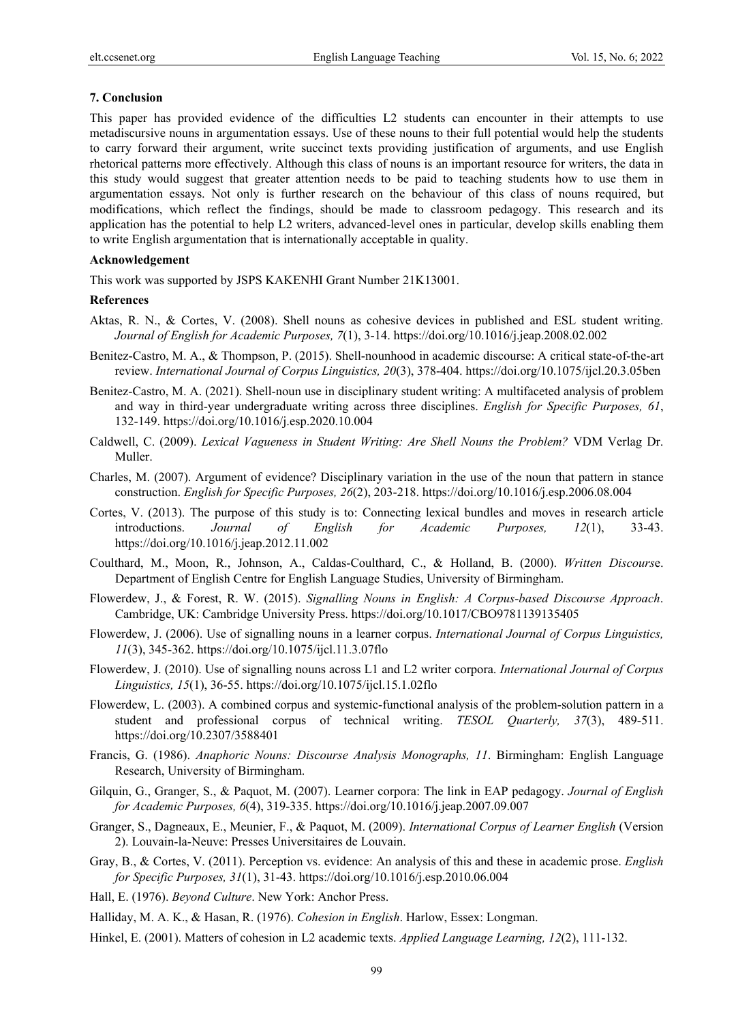# **7. Conclusion**

This paper has provided evidence of the difficulties L2 students can encounter in their attempts to use metadiscursive nouns in argumentation essays. Use of these nouns to their full potential would help the students to carry forward their argument, write succinct texts providing justification of arguments, and use English rhetorical patterns more effectively. Although this class of nouns is an important resource for writers, the data in this study would suggest that greater attention needs to be paid to teaching students how to use them in argumentation essays. Not only is further research on the behaviour of this class of nouns required, but modifications, which reflect the findings, should be made to classroom pedagogy. This research and its application has the potential to help L2 writers, advanced-level ones in particular, develop skills enabling them to write English argumentation that is internationally acceptable in quality.

# **Acknowledgement**

This work was supported by JSPS KAKENHI Grant Number 21K13001.

# **References**

- Aktas, R. N., & Cortes, V. (2008). Shell nouns as cohesive devices in published and ESL student writing. *Journal of English for Academic Purposes, 7*(1), 3-14. https://doi.org/10.1016/j.jeap.2008.02.002
- Benitez-Castro, M. A., & Thompson, P. (2015). Shell-nounhood in academic discourse: A critical state-of-the-art review. *International Journal of Corpus Linguistics, 20*(3), 378-404. https://doi.org/10.1075/ijcl.20.3.05ben
- Benitez-Castro, M. A. (2021). Shell-noun use in disciplinary student writing: A multifaceted analysis of problem and way in third-year undergraduate writing across three disciplines. *English for Specific Purposes, 61*, 132-149. https://doi.org/10.1016/j.esp.2020.10.004
- Caldwell, C. (2009). *Lexical Vagueness in Student Writing: Are Shell Nouns the Problem?* VDM Verlag Dr. Muller.
- Charles, M. (2007). Argument of evidence? Disciplinary variation in the use of the noun that pattern in stance construction. *English for Specific Purposes, 26*(2), 203-218. https://doi.org/10.1016/j.esp.2006.08.004
- Cortes, V. (2013). The purpose of this study is to: Connecting lexical bundles and moves in research article introductions. *Journal of English for Academic Purposes, 12*(1), 33-43. https://doi.org/10.1016/j.jeap.2012.11.002
- Coulthard, M., Moon, R., Johnson, A., Caldas-Coulthard, C., & Holland, B. (2000). *Written Discours*e. Department of English Centre for English Language Studies, University of Birmingham.
- Flowerdew, J., & Forest, R. W. (2015). *Signalling Nouns in English: A Corpus-based Discourse Approach*. Cambridge, UK: Cambridge University Press. https://doi.org/10.1017/CBO9781139135405
- Flowerdew, J. (2006). Use of signalling nouns in a learner corpus. *International Journal of Corpus Linguistics, 11*(3), 345-362. https://doi.org/10.1075/ijcl.11.3.07flo
- Flowerdew, J. (2010). Use of signalling nouns across L1 and L2 writer corpora. *International Journal of Corpus Linguistics, 15*(1), 36-55. https://doi.org/10.1075/ijcl.15.1.02flo
- Flowerdew, L. (2003). A combined corpus and systemic-functional analysis of the problem-solution pattern in a student and professional corpus of technical writing. *TESOL Quarterly, 37*(3), 489-511. https://doi.org/10.2307/3588401
- Francis, G. (1986). *Anaphoric Nouns: Discourse Analysis Monographs, 11*. Birmingham: English Language Research, University of Birmingham.
- Gilquin, G., Granger, S., & Paquot, M. (2007). Learner corpora: The link in EAP pedagogy. *Journal of English for Academic Purposes, 6*(4), 319-335. https://doi.org/10.1016/j.jeap.2007.09.007
- Granger, S., Dagneaux, E., Meunier, F., & Paquot, M. (2009). *International Corpus of Learner English* (Version 2). Louvain-la-Neuve: Presses Universitaires de Louvain.
- Gray, B., & Cortes, V. (2011). Perception vs. evidence: An analysis of this and these in academic prose. *English for Specific Purposes, 31*(1), 31-43. https://doi.org/10.1016/j.esp.2010.06.004
- Hall, E. (1976). *Beyond Culture*. New York: Anchor Press.
- Halliday, M. A. K., & Hasan, R. (1976). *Cohesion in English*. Harlow, Essex: Longman.
- Hinkel, E. (2001). Matters of cohesion in L2 academic texts. *Applied Language Learning, 12*(2), 111-132.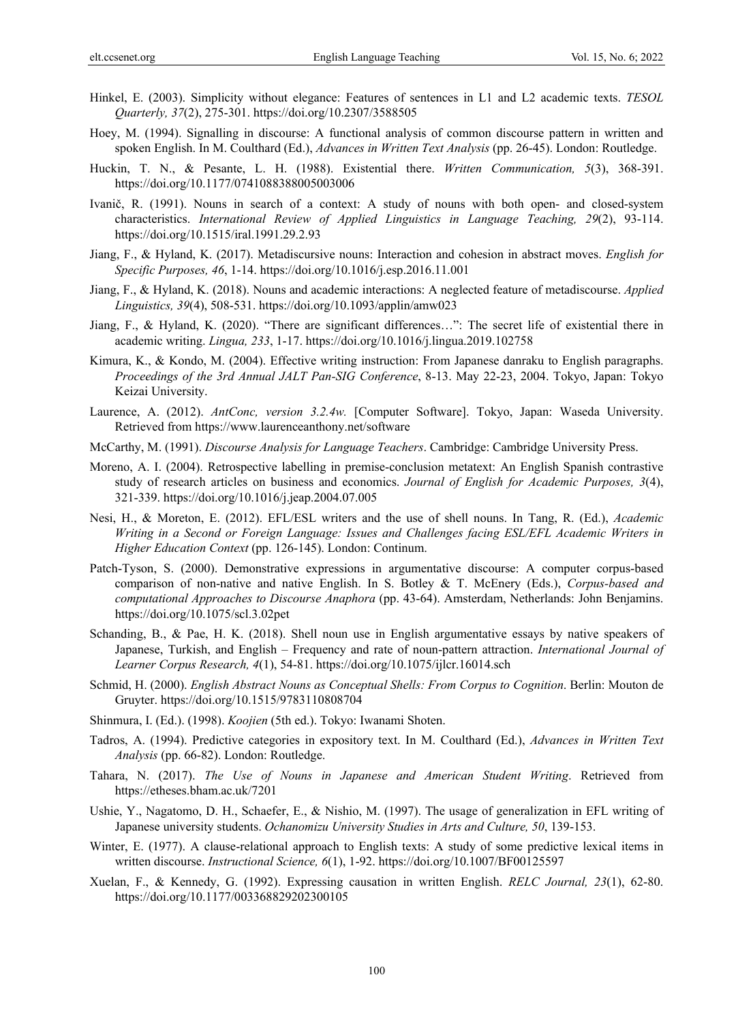- Hinkel, E. (2003). Simplicity without elegance: Features of sentences in L1 and L2 academic texts. *TESOL Quarterly, 37*(2), 275-301. https://doi.org/10.2307/3588505
- Hoey, M. (1994). Signalling in discourse: A functional analysis of common discourse pattern in written and spoken English. In M. Coulthard (Ed.), *Advances in Written Text Analysis* (pp. 26-45). London: Routledge.
- Huckin, T. N., & Pesante, L. H. (1988). Existential there. *Written Communication, 5*(3), 368-391. https://doi.org/10.1177/0741088388005003006
- Ivanič, R. (1991). Nouns in search of a context: A study of nouns with both open- and closed-system characteristics. *International Review of Applied Linguistics in Language Teaching, 29*(2), 93-114. https://doi.org/10.1515/iral.1991.29.2.93
- Jiang, F., & Hyland, K. (2017). Metadiscursive nouns: Interaction and cohesion in abstract moves. *English for Specific Purposes, 46*, 1-14. https://doi.org/10.1016/j.esp.2016.11.001
- Jiang, F., & Hyland, K. (2018). Nouns and academic interactions: A neglected feature of metadiscourse. *Applied Linguistics, 39*(4), 508-531. https://doi.org/10.1093/applin/amw023
- Jiang, F., & Hyland, K. (2020). "There are significant differences…": The secret life of existential there in academic writing. *Lingua, 233*, 1-17. https://doi.org/10.1016/j.lingua.2019.102758
- Kimura, K., & Kondo, M. (2004). Effective writing instruction: From Japanese danraku to English paragraphs. *Proceedings of the 3rd Annual JALT Pan-SIG Conference*, 8-13. May 22-23, 2004. Tokyo, Japan: Tokyo Keizai University.
- Laurence, A. (2012). *AntConc, version 3.2.4w.* [Computer Software]. Tokyo, Japan: Waseda University. Retrieved from https://www.laurenceanthony.net/software
- McCarthy, M. (1991). *Discourse Analysis for Language Teachers*. Cambridge: Cambridge University Press.
- Moreno, A. I. (2004). Retrospective labelling in premise-conclusion metatext: An English Spanish contrastive study of research articles on business and economics. *Journal of English for Academic Purposes, 3*(4), 321-339. https://doi.org/10.1016/j.jeap.2004.07.005
- Nesi, H., & Moreton, E. (2012). EFL/ESL writers and the use of shell nouns. In Tang, R. (Ed.), *Academic Writing in a Second or Foreign Language: Issues and Challenges facing ESL/EFL Academic Writers in Higher Education Context* (pp. 126-145). London: Continum.
- Patch-Tyson, S. (2000). Demonstrative expressions in argumentative discourse: A computer corpus-based comparison of non-native and native English. In S. Botley & T. McEnery (Eds.), *Corpus-based and computational Approaches to Discourse Anaphora* (pp. 43-64). Amsterdam, Netherlands: John Benjamins. https://doi.org/10.1075/scl.3.02pet
- Schanding, B., & Pae, H. K. (2018). Shell noun use in English argumentative essays by native speakers of Japanese, Turkish, and English – Frequency and rate of noun-pattern attraction. *International Journal of Learner Corpus Research, 4*(1), 54-81. https://doi.org/10.1075/ijlcr.16014.sch
- Schmid, H. (2000). *English Abstract Nouns as Conceptual Shells: From Corpus to Cognition*. Berlin: Mouton de Gruyter. https://doi.org/10.1515/9783110808704
- Shinmura, I. (Ed.). (1998). *Koojien* (5th ed.). Tokyo: Iwanami Shoten.
- Tadros, A. (1994). Predictive categories in expository text. In M. Coulthard (Ed.), *Advances in Written Text Analysis* (pp. 66-82). London: Routledge.
- Tahara, N. (2017). *The Use of Nouns in Japanese and American Student Writing*. Retrieved from https://etheses.bham.ac.uk/7201
- Ushie, Y., Nagatomo, D. H., Schaefer, E., & Nishio, M. (1997). The usage of generalization in EFL writing of Japanese university students. *Ochanomizu University Studies in Arts and Culture, 50*, 139-153.
- Winter, E. (1977). A clause-relational approach to English texts: A study of some predictive lexical items in written discourse. *Instructional Science, 6*(1), 1-92. https://doi.org/10.1007/BF00125597
- Xuelan, F., & Kennedy, G. (1992). Expressing causation in written English. *RELC Journal, 23*(1), 62-80. https://doi.org/10.1177/003368829202300105